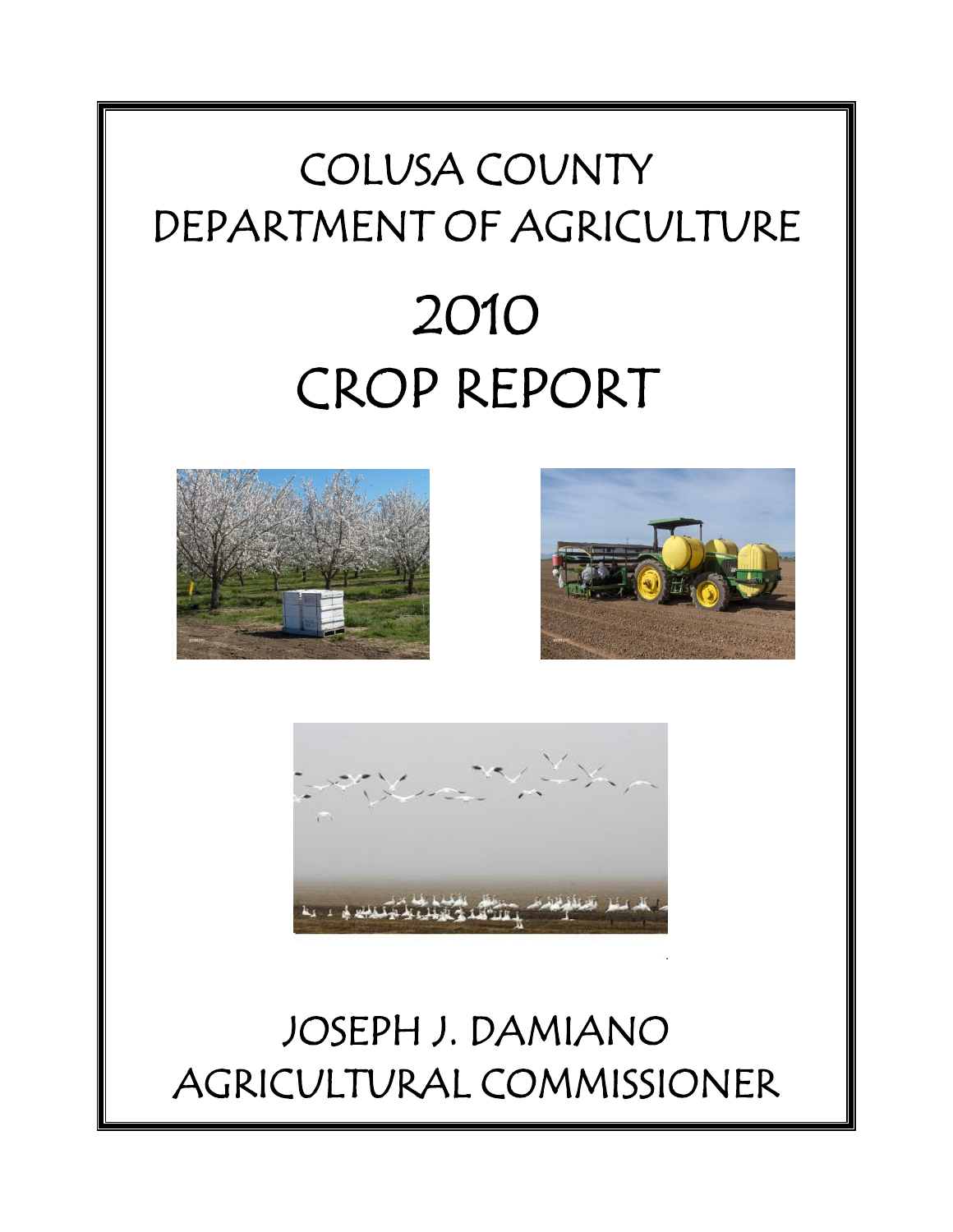# COLUSA COUNTY DEPARTMENT OF AGRICULTURE 2010 CROP REPORT







## JOSEPH J. DAMIANO AGRICULTURAL COMMISSIONER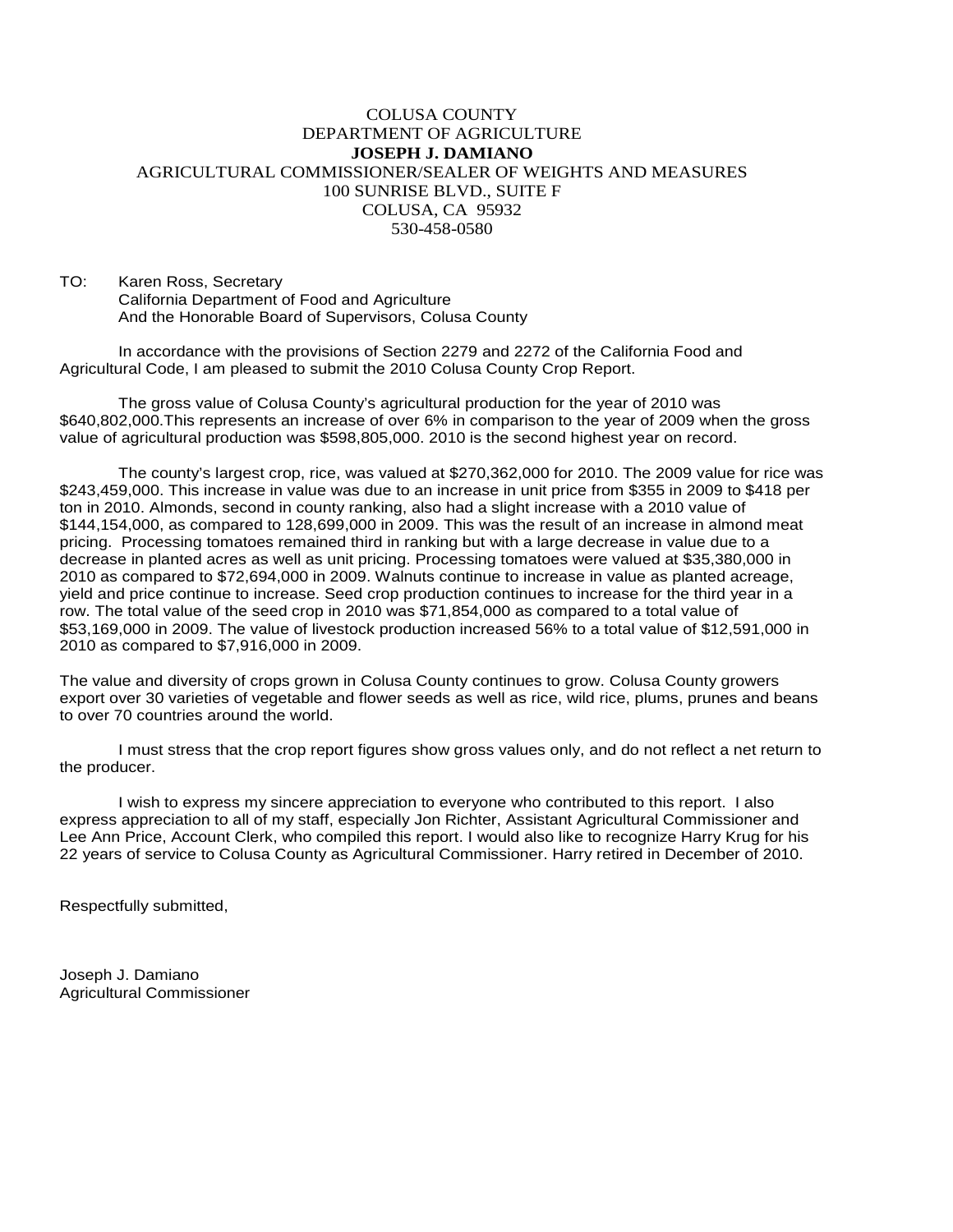#### COLUSA COUNTY DEPARTMENT OF AGRICULTURE **JOSEPH J. DAMIANO** AGRICULTURAL COMMISSIONER/SEALER OF WEIGHTS AND MEASURES 100 SUNRISE BLVD., SUITE F COLUSA, CA 95932 530-458-0580

TO: Karen Ross, Secretary California Department of Food and Agriculture And the Honorable Board of Supervisors, Colusa County

In accordance with the provisions of Section 2279 and 2272 of the California Food and Agricultural Code, I am pleased to submit the 2010 Colusa County Crop Report.

The gross value of Colusa County's agricultural production for the year of 2010 was \$640,802,000.This represents an increase of over 6% in comparison to the year of 2009 when the gross value of agricultural production was \$598,805,000. 2010 is the second highest year on record.

The county's largest crop, rice, was valued at \$270,362,000 for 2010. The 2009 value for rice was \$243,459,000. This increase in value was due to an increase in unit price from \$355 in 2009 to \$418 per ton in 2010. Almonds, second in county ranking, also had a slight increase with a 2010 value of \$144,154,000, as compared to 128,699,000 in 2009. This was the result of an increase in almond meat pricing. Processing tomatoes remained third in ranking but with a large decrease in value due to a decrease in planted acres as well as unit pricing. Processing tomatoes were valued at \$35,380,000 in 2010 as compared to \$72,694,000 in 2009. Walnuts continue to increase in value as planted acreage, yield and price continue to increase. Seed crop production continues to increase for the third year in a row. The total value of the seed crop in 2010 was \$71,854,000 as compared to a total value of \$53,169,000 in 2009. The value of livestock production increased 56% to a total value of \$12,591,000 in 2010 as compared to \$7,916,000 in 2009.

The value and diversity of crops grown in Colusa County continues to grow. Colusa County growers export over 30 varieties of vegetable and flower seeds as well as rice, wild rice, plums, prunes and beans to over 70 countries around the world.

I must stress that the crop report figures show gross values only, and do not reflect a net return to the producer.

I wish to express my sincere appreciation to everyone who contributed to this report. I also express appreciation to all of my staff, especially Jon Richter, Assistant Agricultural Commissioner and Lee Ann Price, Account Clerk, who compiled this report. I would also like to recognize Harry Krug for his 22 years of service to Colusa County as Agricultural Commissioner. Harry retired in December of 2010.

Respectfully submitted,

Joseph J. Damiano Agricultural Commissioner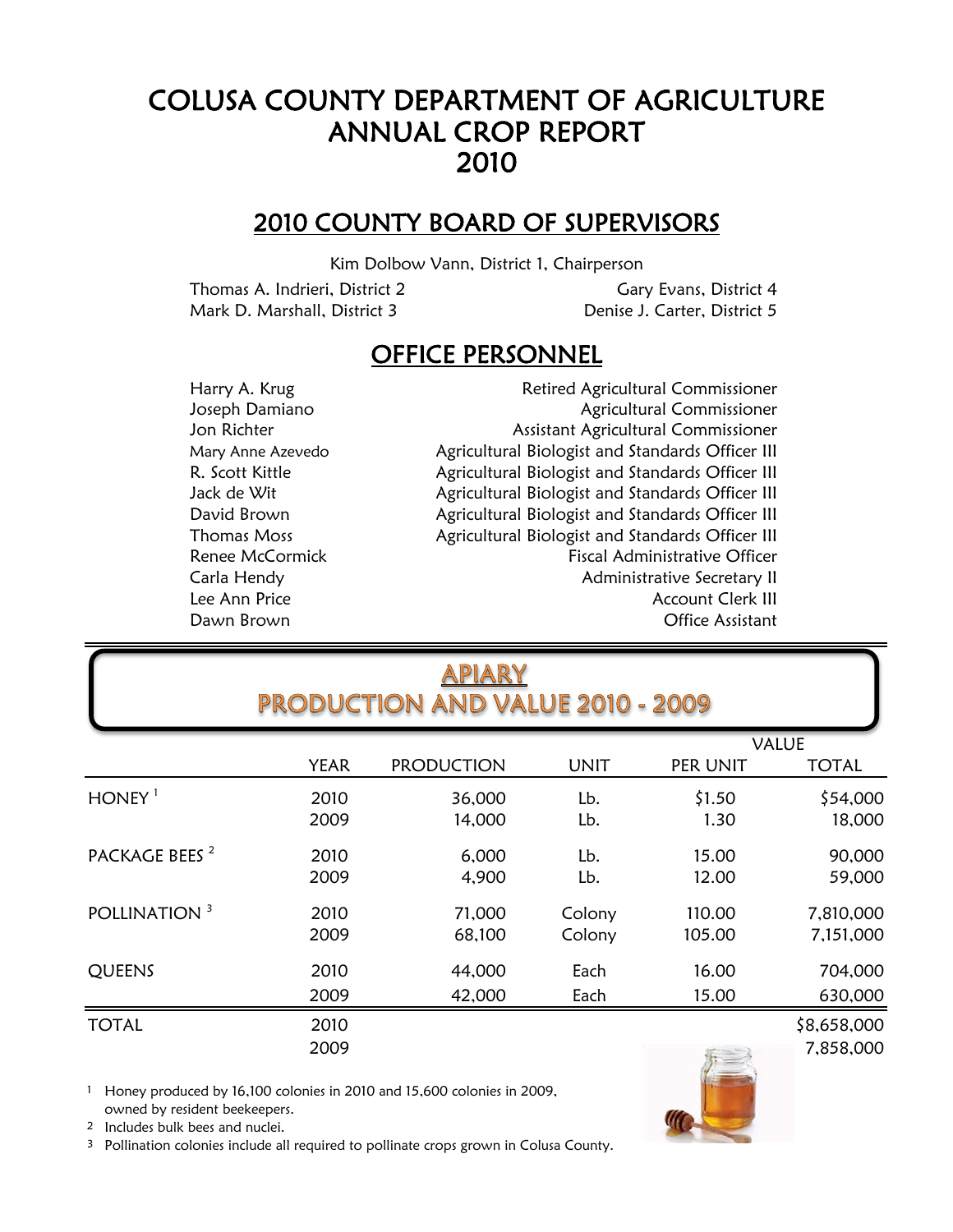## COLUSA COUNTY DEPARTMENT OF AGRICULTURE ANNUAL CROP REPORT 2010

### 2010 COUNTY BOARD OF SUPERVISORS

Kim Dolbow Vann, District 1, Chairperson

Mark D. Marshall, District 3 Thomas A. Indrieri, District 2 Denise J. Carter, District 5 Gary Evans, District 4

#### OFFICE PERSONNEL

Jon Richter Renee McCormick Carla Hendy Harry A. Krug Thomas Moss R. Scott Kittle Joseph Damiano Lee Ann Price Dawn Brown Jack de Wit Mary Anne Azevedo

Agricultural Biologist and Standards Officer III Agricultural Biologist and Standards Officer III Agricultural Biologist and Standards Officer III Office Assistant David Brown **Agricultural Biologist and Standards Officer III** Agricultural Commissioner Agricultural Biologist and Standards Officer III Retired Agricultural Commissioner Assistant Agricultural Commissioner Fiscal Administrative Officer Administrative Secretary II Account Clerk III

### APIARY **PRODUCTION AND VALUE 2010 - 2009**

|                           |             |                   |             |          | <b>VALUE</b> |
|---------------------------|-------------|-------------------|-------------|----------|--------------|
|                           | <b>YEAR</b> | <b>PRODUCTION</b> | <b>UNIT</b> | PER UNIT | <b>TOTAL</b> |
| HONEY <sup>1</sup>        | 2010        | 36,000            | Lb.         | \$1.50   | \$54,000     |
|                           | 2009        | 14,000            | Lb.         | 1.30     | 18,000       |
| PACKAGE BEES <sup>2</sup> | 2010        | 6,000             | Lb.         | 15.00    | 90,000       |
|                           | 2009        | 4,900             | Lb.         | 12.00    | 59,000       |
| POLLINATION <sup>3</sup>  | 2010        | 71,000            | Colony      | 110.00   | 7,810,000    |
|                           | 2009        | 68,100            | Colony      | 105.00   | 7,151,000    |
| <b>QUEENS</b>             | 2010        | 44,000            | Each        | 16.00    | 704,000      |
|                           | 2009        | 42,000            | Each        | 15.00    | 630,000      |
| <b>TOTAL</b>              | 2010        |                   |             |          | \$8,658,000  |

1 Honey produced by 16,100 colonies in 2010 and 15,600 colonies in 2009, owned by resident beekeepers.

2 Includes bulk bees and nuclei.

<sup>3</sup> Pollination colonies include all required to pollinate crops grown in Colusa County.

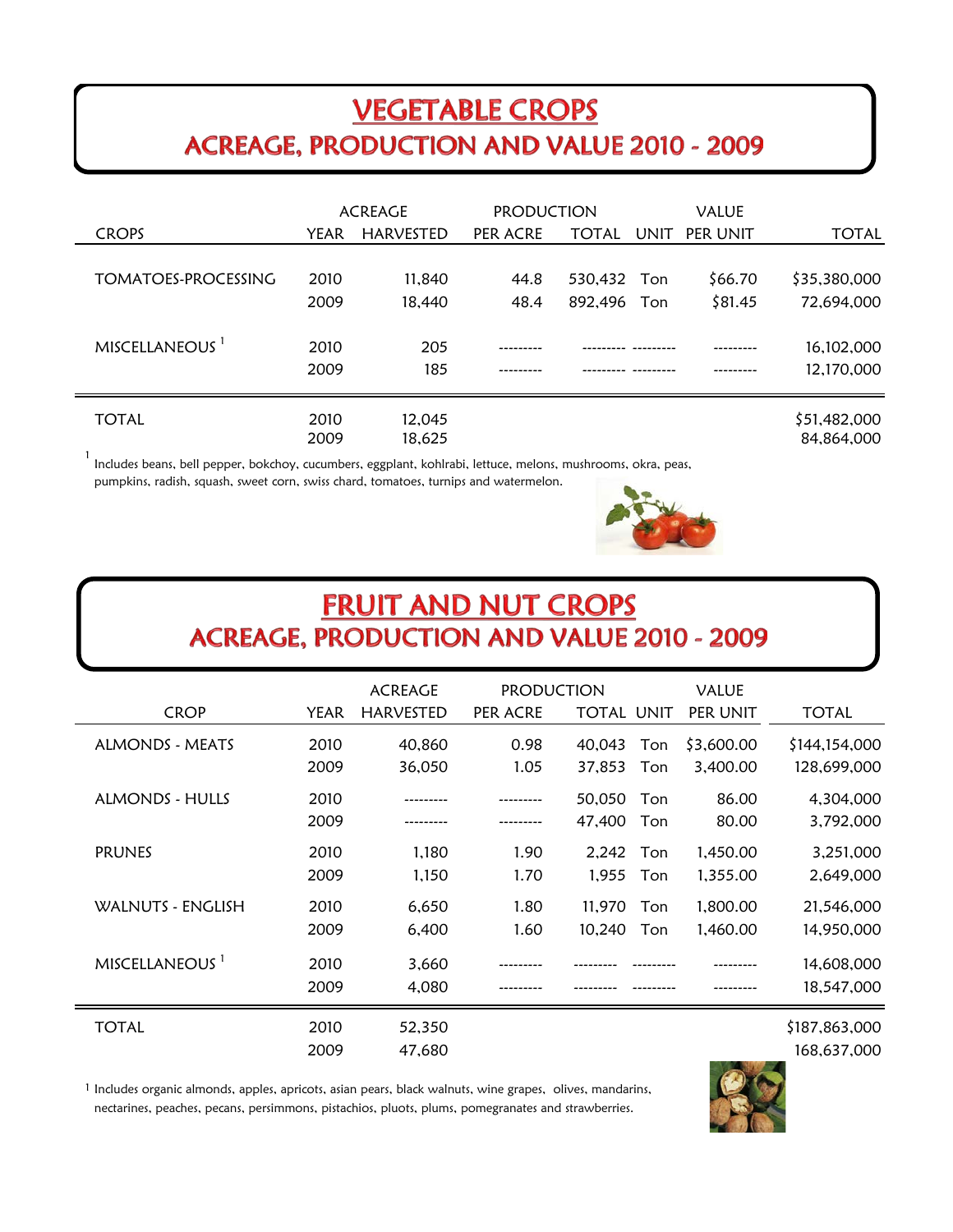## **VEGETABLE CROPS ACREAGE, PRODUCTION AND VALUE 2010 - 2009**

|                            |      | <b>ACREAGE</b>   | <b>PRODUCTION</b> |              |      | VALUE    |              |
|----------------------------|------|------------------|-------------------|--------------|------|----------|--------------|
| <b>CROPS</b>               | YEAR | <b>HARVESTED</b> | PER ACRE          | <b>TOTAL</b> | UNIT | PER UNIT | <b>TOTAL</b> |
|                            |      |                  |                   |              |      |          |              |
| <b>TOMATOES-PROCESSING</b> | 2010 | 11,840           | 44.8              | 530,432      | Ton  | \$66.70  | \$35,380,000 |
|                            | 2009 | 18,440           | 48.4              | 892,496      | Ton  | \$81.45  | 72,694,000   |
|                            |      |                  |                   |              |      |          |              |
| MISCELLANEOUS <sup>1</sup> | 2010 | 205              |                   |              |      |          | 16,102,000   |
|                            | 2009 | 185              |                   |              |      |          | 12,170,000   |
|                            |      |                  |                   |              |      |          |              |
| <b>TOTAL</b>               | 2010 | 12,045           |                   |              |      |          | \$51,482,000 |
|                            | 2009 | 18,625           |                   |              |      |          | 84,864,000   |

1 pumpkins, radish, squash, sweet corn, swiss chard, tomatoes, turnips and watermelon. Includes beans, bell pepper, bokchoy, cucumbers, eggplant, kohlrabi, lettuce, melons, mushrooms, okra, peas,



# **FRUIT AND NUT CROPS**<br>ACREAGE, PRODUCTION AND VALUE 2010 - 2009

|                            |      | <b>ACREAGE</b>   | <b>PRODUCTION</b> |            |     | VALUE      |               |
|----------------------------|------|------------------|-------------------|------------|-----|------------|---------------|
| <b>CROP</b>                | YEAR | <b>HARVESTED</b> | PER ACRE          | TOTAL UNIT |     | PER UNIT   | <b>TOTAL</b>  |
| <b>ALMONDS - MEATS</b>     | 2010 | 40,860           | 0.98              | 40,043     | Ton | \$3,600.00 | \$144,154,000 |
|                            | 2009 | 36,050           | 1.05              | 37,853     | Ton | 3,400.00   | 128,699,000   |
| <b>ALMONDS - HULLS</b>     | 2010 |                  |                   | 50,050     | Ton | 86.00      | 4,304,000     |
|                            | 2009 |                  |                   | 47,400     | Ton | 80.00      | 3,792,000     |
| <b>PRUNES</b>              | 2010 | 1,180            | 1.90              | 2.242      | Ton | 1,450.00   | 3,251,000     |
|                            | 2009 | 1,150            | 1.70              | 1.955      | Ton | 1,355.00   | 2,649,000     |
| WALNUTS - ENGLISH          | 2010 | 6,650            | 1.80              | 11,970     | Ton | 1,800.00   | 21,546,000    |
|                            | 2009 | 6,400            | 1.60              | 10,240     | Ton | 1,460.00   | 14,950,000    |
| MISCELLANEOUS <sup>1</sup> | 2010 | 3,660            |                   |            |     |            | 14,608,000    |
|                            | 2009 | 4,080            |                   |            |     |            | 18,547,000    |
|                            |      |                  |                   |            |     |            |               |
| <b>TOTAL</b>               | 2010 | 52,350           |                   |            |     |            | \$187,863,000 |
|                            | 2009 | 47,680           |                   |            |     |            | 168,637,000   |

1 Includes organic almonds, apples, apricots, asian pears, black walnuts, wine grapes, olives, mandarins, nectarines, peaches, pecans, persimmons, pistachios, pluots, plums, pomegranates and strawberries.

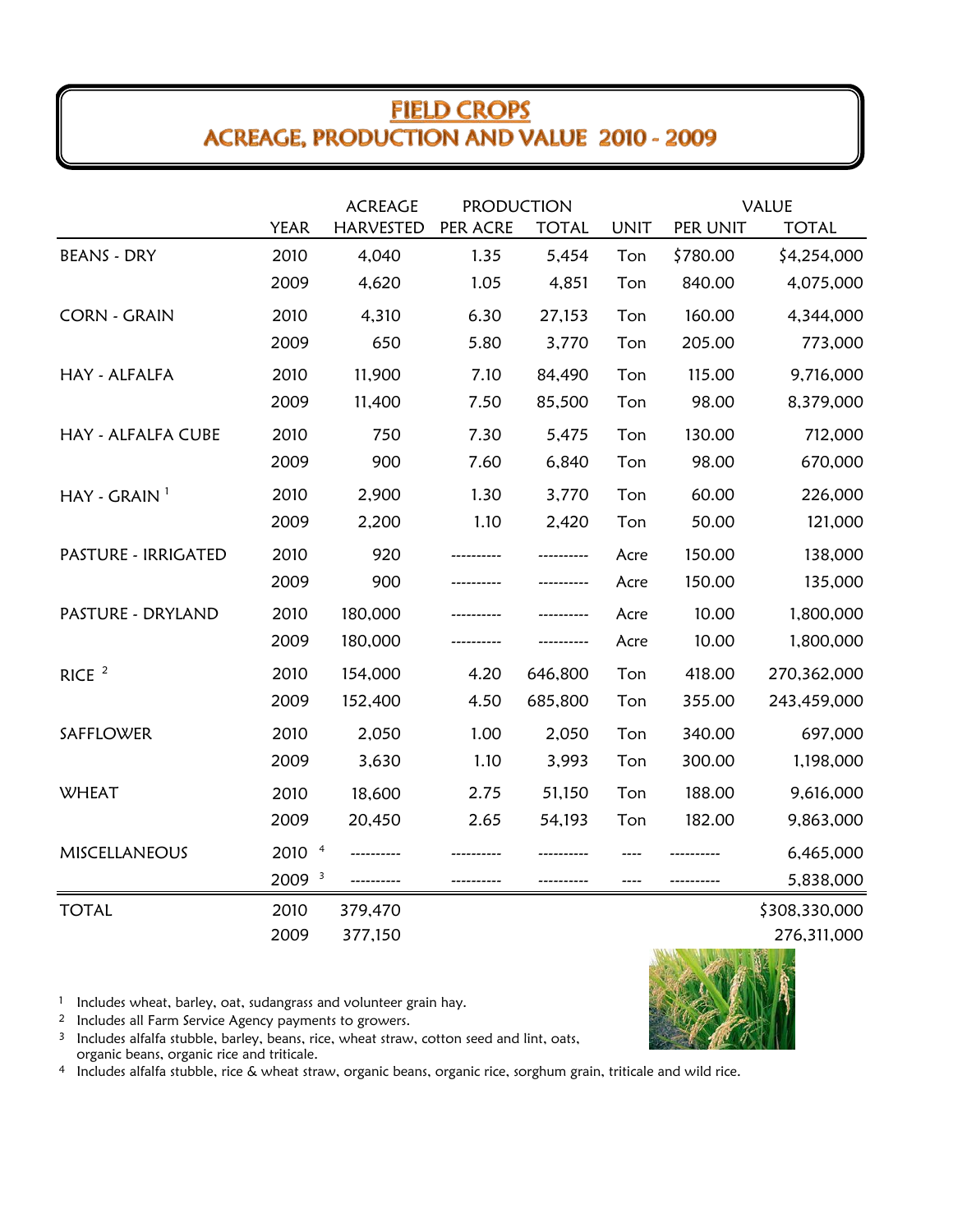## **FIELD CROPS<br>ACREAGE, PRODUCTION AND VALUE 2010 - 2009**

|                            |                   | <b>ACREAGE</b> | <b>PRODUCTION</b> |              |             |          | VALUE         |
|----------------------------|-------------------|----------------|-------------------|--------------|-------------|----------|---------------|
|                            | <b>YEAR</b>       | HARVESTED      | PER ACRE          | <b>TOTAL</b> | <b>UNIT</b> | PER UNIT | <b>TOTAL</b>  |
| <b>BEANS - DRY</b>         | 2010              | 4,040          | 1.35              | 5,454        | Ton         | \$780.00 | \$4,254,000   |
|                            | 2009              | 4,620          | 1.05              | 4,851        | Ton         | 840.00   | 4,075,000     |
| <b>CORN - GRAIN</b>        | 2010              | 4,310          | 6.30              | 27,153       | Ton         | 160.00   | 4,344,000     |
|                            | 2009              | 650            | 5.80              | 3,770        | Ton         | 205.00   | 773,000       |
| HAY - ALFALFA              | 2010              | 11,900         | 7.10              | 84,490       | Ton         | 115.00   | 9,716,000     |
|                            | 2009              | 11,400         | 7.50              | 85,500       | Ton         | 98.00    | 8,379,000     |
| <b>HAY - ALFALFA CUBE</b>  | 2010              | 750            | 7.30              | 5,475        | Ton         | 130.00   | 712,000       |
|                            | 2009              | 900            | 7.60              | 6,840        | Ton         | 98.00    | 670,000       |
| $HAY - GRAIN$ <sup>1</sup> | 2010              | 2,900          | 1.30              | 3,770        | Ton         | 60.00    | 226,000       |
|                            | 2009              | 2,200          | 1.10              | 2,420        | Ton         | 50.00    | 121,000       |
| PASTURE - IRRIGATED        | 2010              | 920            |                   |              | Acre        | 150.00   | 138,000       |
|                            | 2009              | 900            |                   |              | Acre        | 150.00   | 135,000       |
| PASTURE - DRYLAND          | 2010              | 180,000        |                   |              | Acre        | 10.00    | 1,800,000     |
|                            | 2009              | 180,000        |                   | ---------    | Acre        | 10.00    | 1,800,000     |
| RICE <sup>2</sup>          | 2010              | 154,000        | 4.20              | 646,800      | Ton         | 418.00   | 270,362,000   |
|                            | 2009              | 152,400        | 4.50              | 685,800      | Ton         | 355.00   | 243,459,000   |
| SAFFLOWER                  | 2010              | 2,050          | 1.00              | 2,050        | Ton         | 340.00   | 697,000       |
|                            | 2009              | 3,630          | 1.10              | 3,993        | Ton         | 300.00   | 1,198,000     |
| <b>WHEAT</b>               | 2010              | 18,600         | 2.75              | 51,150       | Ton         | 188.00   | 9,616,000     |
|                            | 2009              | 20,450         | 2.65              | 54,193       | Ton         | 182.00   | 9,863,000     |
| <b>MISCELLANEOUS</b>       | 2010 4            |                |                   |              |             |          | 6,465,000     |
|                            | 2009 <sup>3</sup> |                |                   |              |             |          | 5,838,000     |
| <b>TOTAL</b>               | 2010              | 379,470        |                   |              |             |          | \$308,330,000 |

2009 377,150 276,311,000

1 Includes wheat, barley, oat, sudangrass and volunteer grain hay.

<sup>2</sup> Includes all Farm Service Agency payments to growers.

3 Includes alfalfa stubble, barley, beans, rice, wheat straw, cotton seed and lint, oats, organic beans, organic rice and triticale.

4 Includes alfalfa stubble, rice & wheat straw, organic beans, organic rice, sorghum grain, triticale and wild rice.

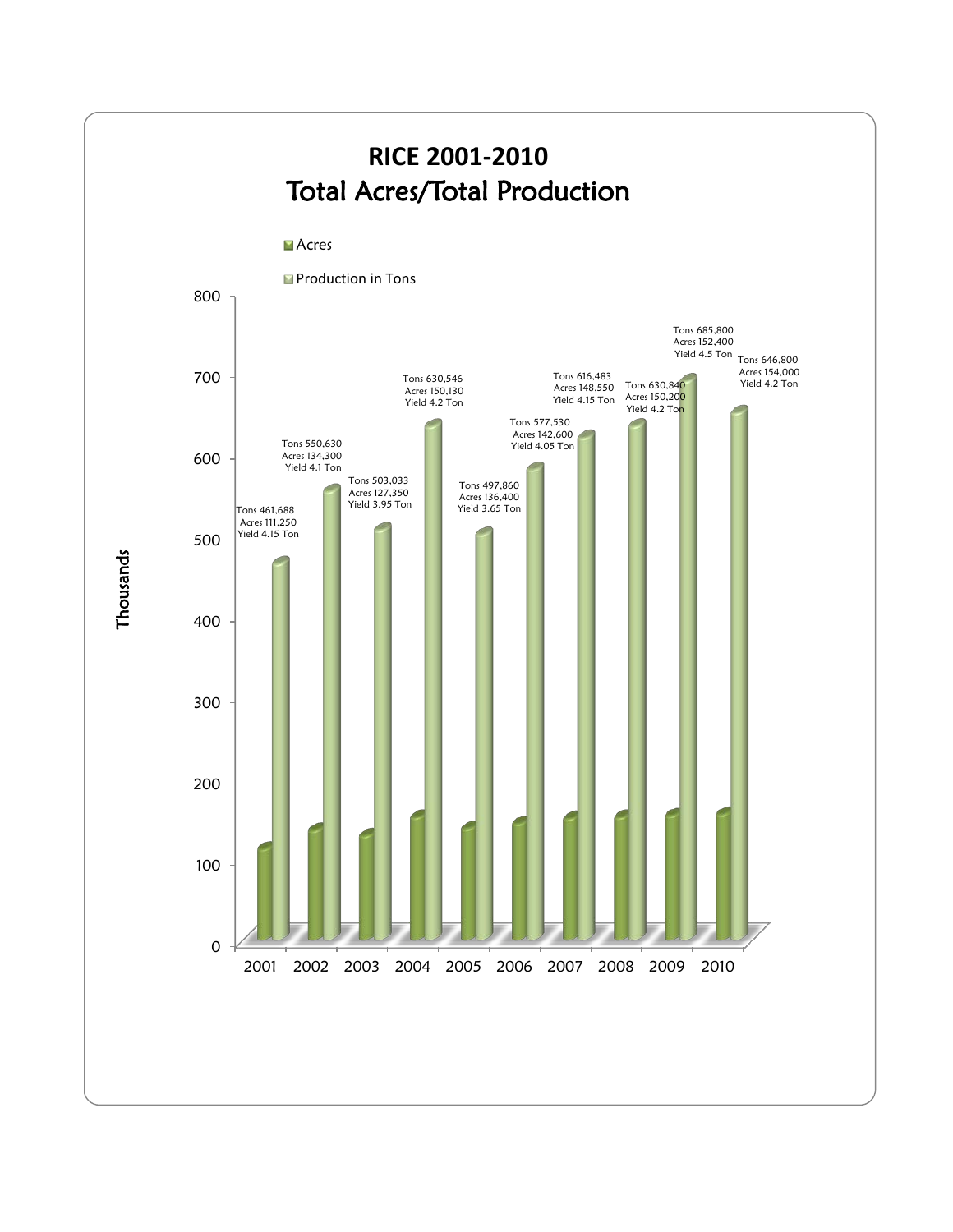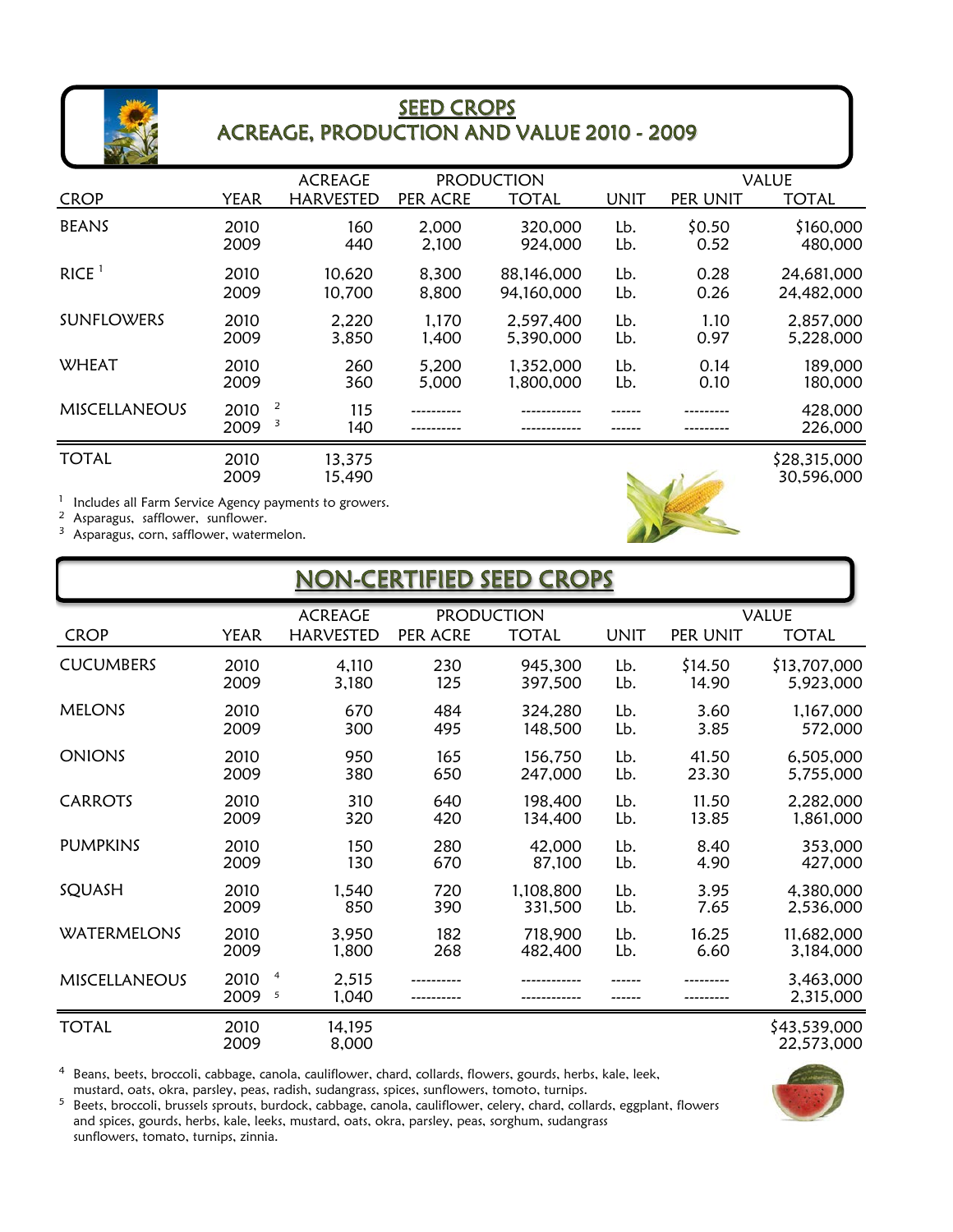

## SEED CROPS<br>ACREAGE, PRODUCTION AND VALUE 2010 - 2009

|                      |                        | <b>ACREAGE</b>   |                | <b>PRODUCTION</b>        |            |                | VALUE                      |
|----------------------|------------------------|------------------|----------------|--------------------------|------------|----------------|----------------------------|
| <b>CROP</b>          | <b>YEAR</b>            | <b>HARVESTED</b> | PER ACRE       | <b>TOTAL</b>             | UNIT       | PER UNIT       | <b>TOTAL</b>               |
| <b>BEANS</b>         | 2010<br>2009           | 160<br>440       | 2,000<br>2,100 | 320,000<br>924,000       | Lb.<br>Lb. | \$0.50<br>0.52 | \$160,000<br>480,000       |
| RICE <sup>1</sup>    | 2010<br>2009           | 10,620<br>10,700 | 8,300<br>8,800 | 88,146,000<br>94,160,000 | Lb.<br>Lb. | 0.28<br>0.26   | 24,681,000<br>24,482,000   |
| SUNFLOWERS           | 2010<br>2009           | 2,220<br>3,850   | 1,170<br>1,400 | 2,597,400<br>5,390,000   | Lb.<br>Lb. | 1.10<br>0.97   | 2,857,000<br>5,228,000     |
| <b>WHEAT</b>         | 2010<br>2009           | 260<br>360       | 5,200<br>5,000 | 1,352,000<br>1,800,000   | Lb.<br>Lb. | 0.14<br>0.10   | 189,000<br>180,000         |
| <b>MISCELLANEOUS</b> | 2<br>2010<br>3<br>2009 | 115<br>140       |                |                          |            |                | 428,000<br>226,000         |
| <b>TOTAL</b>         | 2010<br>2009           | 13,375<br>15,490 |                |                          |            |                | \$28,315,000<br>30,596,000 |

 $^{\rm 1}$  Includes all Farm Service Agency payments to growers.

<sup>2</sup> Asparagus, safflower, sunflower.

<sup>3</sup> Asparagus, corn, safflower, watermelon.



| <b>NON-CERTIFIED SEED CROPS</b> |                                  |                                    |          |                                   |             |          |                              |  |  |
|---------------------------------|----------------------------------|------------------------------------|----------|-----------------------------------|-------------|----------|------------------------------|--|--|
| <b>CROP</b>                     | <b>YEAR</b>                      | <b>ACREAGE</b><br><b>HARVESTED</b> | PER ACRE | <b>PRODUCTION</b><br><b>TOTAL</b> | <b>UNIT</b> | PER UNIT | <b>VALUE</b><br><b>TOTAL</b> |  |  |
| <b>CUCUMBERS</b>                | 2010                             | 4,110                              | 230      | 945,300                           | Lb.         | \$14.50  | \$13,707,000                 |  |  |
|                                 | 2009                             | 3,180                              | 125      | 397,500                           | Lb.         | 14.90    | 5,923,000                    |  |  |
| <b>MELONS</b>                   | 2010                             | 670                                | 484      | 324,280                           | Lb.         | 3.60     | 1,167,000                    |  |  |
|                                 | 2009                             | 300                                | 495      | 148,500                           | Lb.         | 3.85     | 572,000                      |  |  |
| <b>ONIONS</b>                   | 2010                             | 950                                | 165      | 156,750                           | Lb.         | 41.50    | 6,505,000                    |  |  |
|                                 | 2009                             | 380                                | 650      | 247,000                           | Lb.         | 23.30    | 5,755,000                    |  |  |
| <b>CARROTS</b>                  | 2010                             | 310                                | 640      | 198,400                           | Lb.         | 11.50    | 2,282,000                    |  |  |
|                                 | 2009                             | 320                                | 420      | 134,400                           | Lb.         | 13.85    | 1,861,000                    |  |  |
| <b>PUMPKINS</b>                 | 2010                             | 150                                | 280      | 42,000                            | Lb.         | 8.40     | 353,000                      |  |  |
|                                 | 2009                             | 130                                | 670      | 87,100                            | Lb.         | 4.90     | 427,000                      |  |  |
| SQUASH                          | 2010                             | 1,540                              | 720      | 1,108,800                         | Lb.         | 3.95     | 4,380,000                    |  |  |
|                                 | 2009                             | 850                                | 390      | 331,500                           | Lb.         | 7.65     | 2,536,000                    |  |  |
| <b>WATERMELONS</b>              | 2010                             | 3,950                              | 182      | 718,900                           | Lb.         | 16.25    | 11,682,000                   |  |  |
|                                 | 2009                             | 1,800                              | 268      | 482,400                           | Lb.         | 6.60     | 3,184,000                    |  |  |
| <b>MISCELLANEOUS</b>            | $\overline{a}$<br>2010<br>2009 5 | 2,515<br>1,040                     |          |                                   |             |          | 3,463,000<br>2,315,000       |  |  |
| <b>TOTAL</b>                    | 2010<br>2009                     | 14,195<br>8,000                    |          |                                   |             |          | \$43,539,000<br>22,573,000   |  |  |

4 Beans, beets, broccoli, cabbage, canola, cauliflower, chard, collards, flowers, gourds, herbs, kale, leek, mustard, oats, okra, parsley, peas, radish, sudangrass, spices, sunflowers, tomoto, turnips.



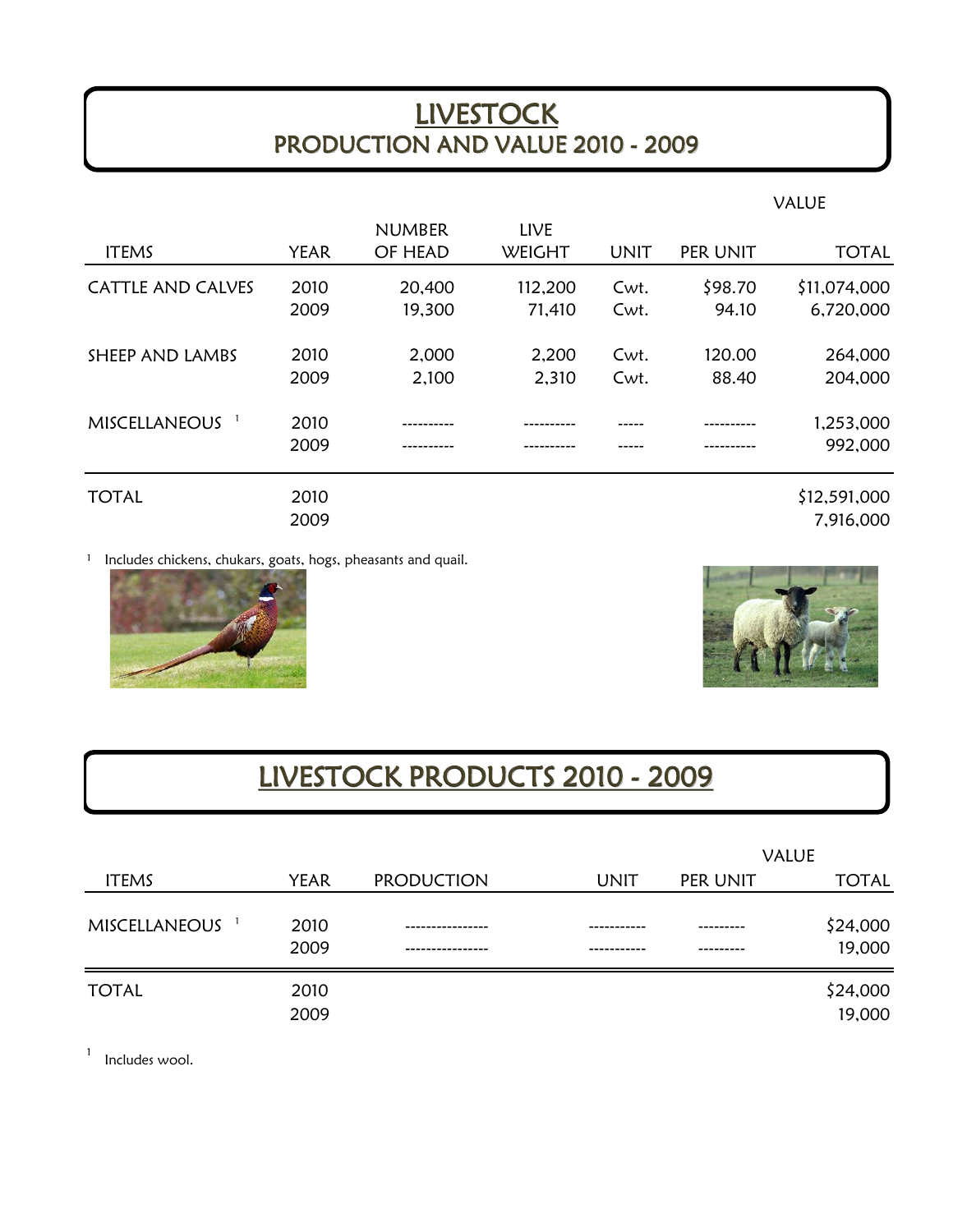### LIVESTOCK PRODUCTION AND VALUE 2010 - 2009

|                          |             |               |               |             |          | VALUE        |
|--------------------------|-------------|---------------|---------------|-------------|----------|--------------|
|                          |             | <b>NUMBER</b> | <b>LIVE</b>   |             |          |              |
| <b>ITEMS</b>             | <b>YEAR</b> | OF HEAD       | <b>WEIGHT</b> | <b>UNIT</b> | PER UNIT | <b>TOTAL</b> |
| <b>CATTLE AND CALVES</b> | 2010        | 20,400        | 112,200       | Cwt.        | \$98.70  | \$11,074,000 |
|                          | 2009        | 19,300        | 71,410        | Cwt.        | 94.10    | 6,720,000    |
| SHEEP AND LAMBS          | 2010        | 2,000         | 2,200         | Cwt.        | 120.00   | 264,000      |
|                          | 2009        | 2,100         | 2,310         | Cwt.        | 88.40    | 204,000      |
| <b>MISCELLANEOUS</b>     | 2010        |               |               |             |          | 1,253,000    |
|                          | 2009        |               |               |             |          | 992,000      |
|                          |             |               |               |             |          |              |
| <b>TOTAL</b>             | 2010        |               |               |             |          | \$12,591,000 |
|                          | 2009        |               |               |             |          | 7,916,000    |

1 Includes chickens, chukars, goats, hogs, pheasants and quail.





## LIVESTOCK PRODUCTS 2010 - 2009

|                      |              |                   |      |                      | VALUE              |
|----------------------|--------------|-------------------|------|----------------------|--------------------|
| <b>ITEMS</b>         | YEAR         | <b>PRODUCTION</b> | UNIT | PER UNIT             | <b>TOTAL</b>       |
| <b>MISCELLANEOUS</b> | 2010<br>2009 | -------------     |      | -------<br>--------- | \$24,000<br>19,000 |
| <b>TOTAL</b>         | 2010<br>2009 |                   |      |                      | \$24,000<br>19,000 |

1 Includes wool.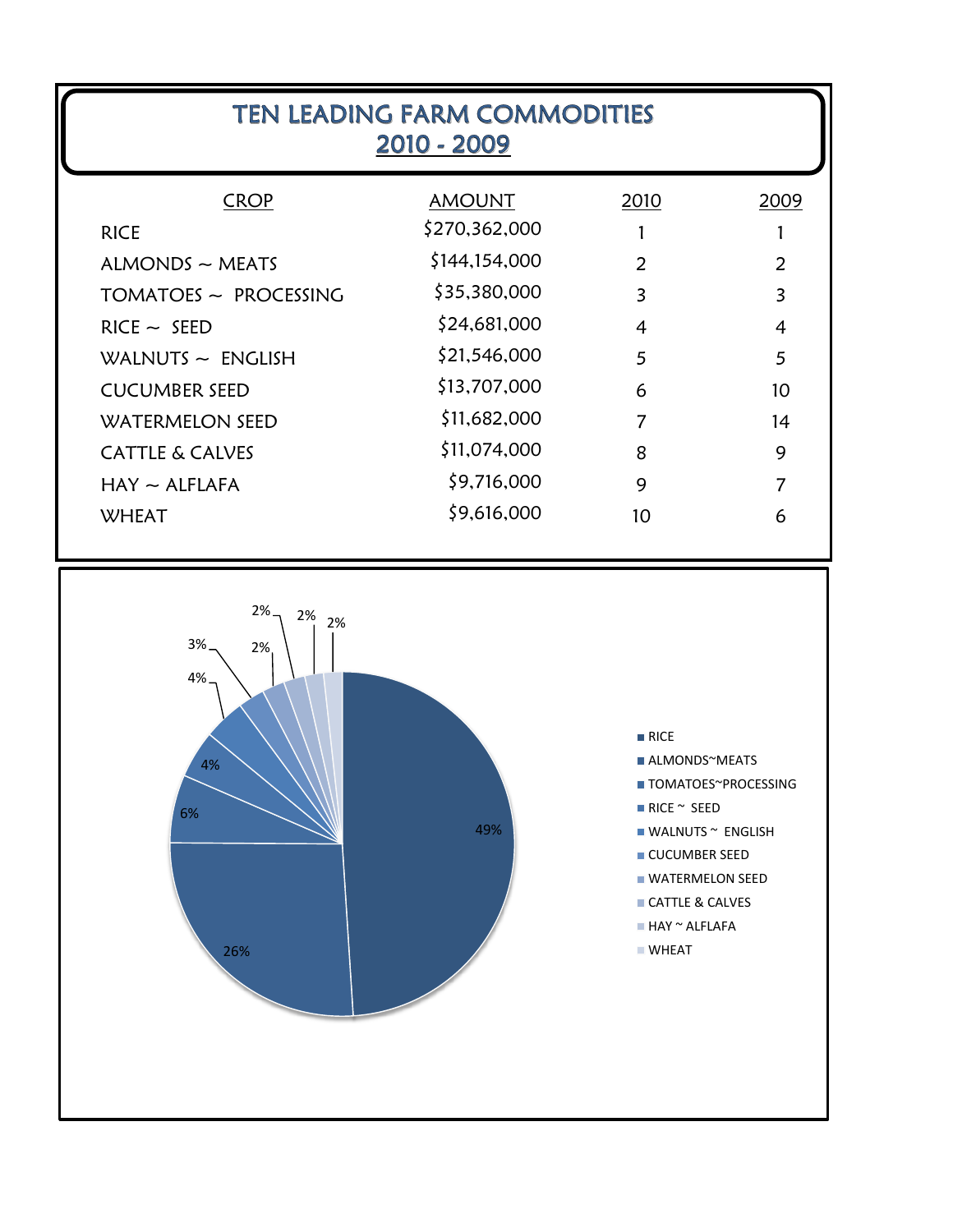| TEN LEADING FARM COMMODITIES<br>2010 - 2009 |               |                |               |  |  |  |  |  |
|---------------------------------------------|---------------|----------------|---------------|--|--|--|--|--|
| <b>CROP</b>                                 | <b>AMOUNT</b> | 2010           | 2009          |  |  |  |  |  |
| <b>RICE</b>                                 | \$270,362,000 |                |               |  |  |  |  |  |
| $ALMONDS \sim MEATS$                        | \$144,154,000 | $\overline{2}$ | $\mathcal{L}$ |  |  |  |  |  |
| TOMATOES $\sim$ PROCESSING                  | \$35,380,000  | 3              | 3             |  |  |  |  |  |
| $RICE \sim SEED$                            | \$24,681,000  | $\overline{4}$ | 4             |  |  |  |  |  |
| WALNUTS $\sim$ ENGLISH                      | \$21,546,000  | 5              | 5             |  |  |  |  |  |
| <b>CUCUMBER SEED</b>                        | \$13,707,000  | 6              | 10            |  |  |  |  |  |
| <b>WATERMELON SEED</b>                      | \$11,682,000  | 7              | 14            |  |  |  |  |  |
| <b>CATTLE &amp; CALVES</b>                  | \$11,074,000  | 8              | 9             |  |  |  |  |  |
| $HAY \sim ALFLAFA$                          | \$9,716,000   | 9              |               |  |  |  |  |  |
| <b>WHEAT</b>                                | \$9,616,000   | 10             | 6             |  |  |  |  |  |

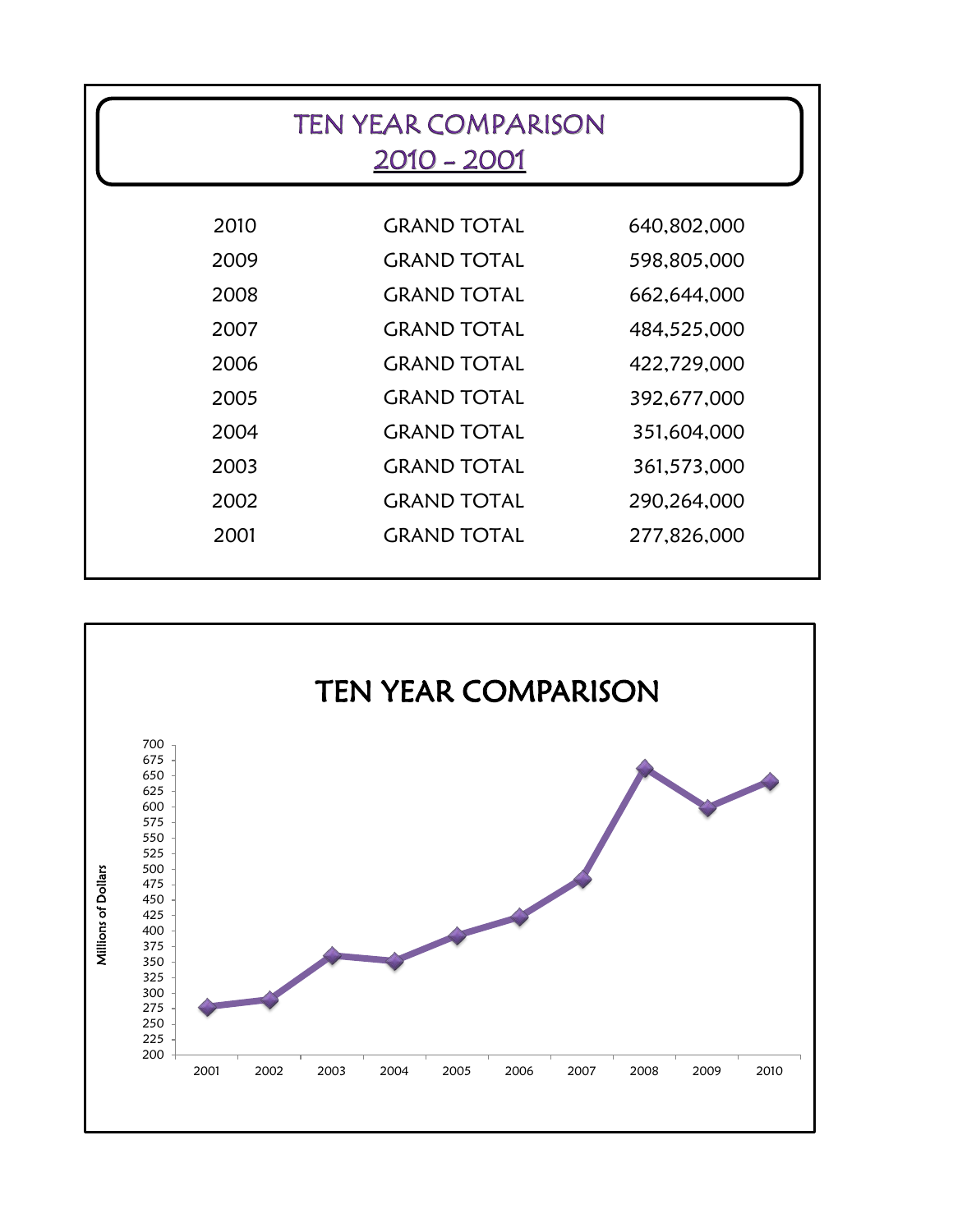|      | <b>TEN YEAR COMPARISON</b><br>2010 - 2001 |             |  |
|------|-------------------------------------------|-------------|--|
| 2010 | <b>GRAND TOTAL</b>                        | 640,802,000 |  |
| 2009 | <b>GRAND TOTAL</b>                        | 598,805,000 |  |
| 2008 | <b>GRAND TOTAL</b>                        | 662,644,000 |  |
| 2007 | <b>GRAND TOTAL</b>                        | 484,525,000 |  |
| 2006 | <b>GRAND TOTAL</b>                        | 422,729,000 |  |
| 2005 | <b>GRAND TOTAL</b>                        | 392,677,000 |  |
| 2004 | <b>GRAND TOTAL</b>                        | 351,604,000 |  |
| 2003 | <b>GRAND TOTAL</b>                        | 361,573,000 |  |
| 2002 | <b>GRAND TOTAL</b>                        | 290,264,000 |  |
| 2001 | <b>GRAND TOTAL</b>                        | 277,826,000 |  |
|      |                                           |             |  |